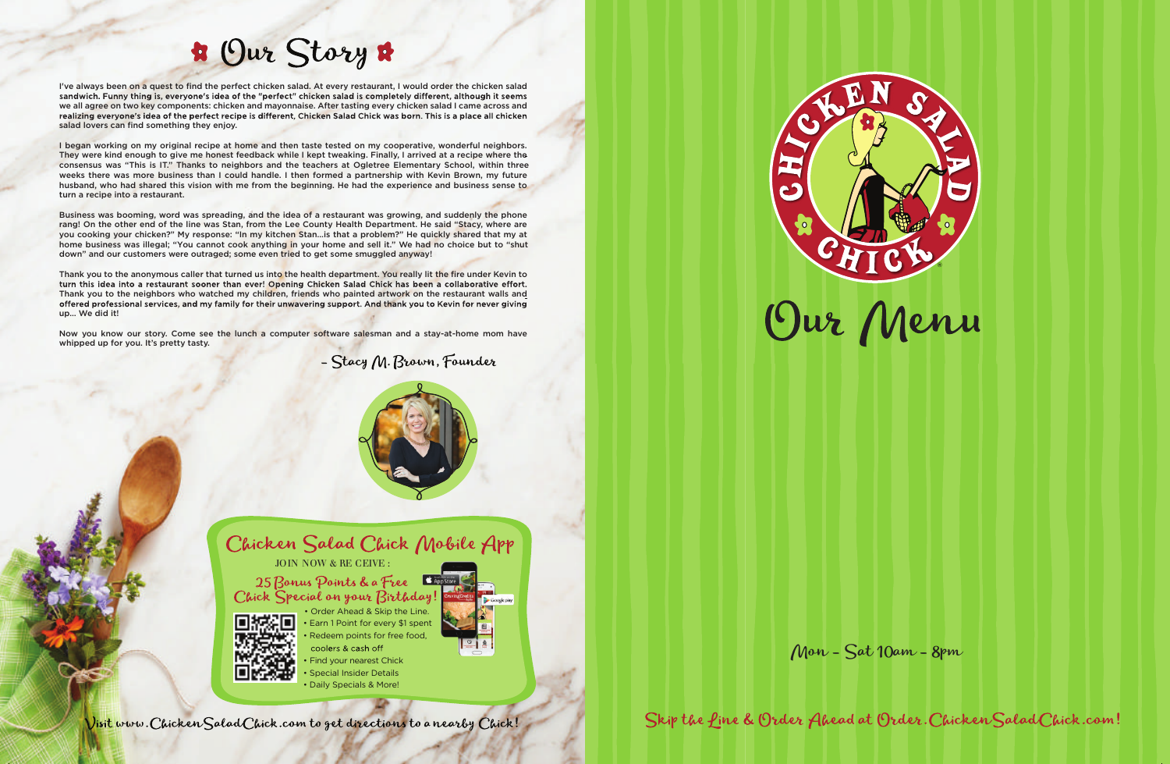

Skip the fine & Order Ahead at Order. Chicken Salad Chick.com!

- coolers & cash off Find your nearest Chick
- Special Insider Details
- Daily Specials & More!



# **\*** Our Story \*

I've always been on a quest to find the perfect chicken salad. At every restaurant, I would order the chicken salad sandwich. Funny thing is, everyone's idea of the "perfect" chicken salad is completely different, although it seems we all agree on two key components: chicken and mayonnaise. After tasting every chicken salad I came across and realizing everyone's idea of the perfect recipe is different, Chicken Salad Chick was born. This is a place all chicken salad lovers can find something they enjoy.

I began working on my original recipe at home and then taste tested on my cooperative, wonderful neighbors. They were kind enough to give me honest feedback while I kept tweaking. Finally, I arrived at a recipe where the consensus was "This is IT." Thanks to neighbors and the teachers at Ogletree Elementary School, within three weeks there was more business than I could handle. I then formed a partnership with Kevin Brown, my future husband, who had shared this vision with me from the beginning. He had the experience and business sense to turn a recipe into a restaurant.

Business was booming, word was spreading, and the idea of a restaurant was growing, and suddenly the phone rang! On the other end of the line was Stan, from the Lee County Health Department. He said "Stacy, where are you cooking your chicken?" My response: "In my kitchen Stan…is that a problem?" He quickly shared that my at home business was illegal; "You cannot cook anything in your home and sell it." We had no choice but to "shut down" and our customers were outraged; some even tried to get some smuggled anyway!

Thank you to the anonymous caller that turned us into the health department. You really lit the fire under Kevin to turn this idea into a restaurant sooner than ever! Opening Chicken Salad Chick has been a collaborative effort. Thank you to the neighbors who watched my children, friends who painted artwork on the restaurant walls and offered professional services, and my family for their unwavering support. And thank you to Kevin for never giving up… We did it!

Now you know our story. Come see the lunch a computer software salesman and a stay-at-home mom have whipped up for you. It's pretty tasty.

- Stacy M. Brown, Founder





JOIN NOW & RE CEIVE :

25 Bonus Points & a Free Chick Special on your Birthday!



• Earn 1 Point for every \$1 spent Redeem points for free food, • Order Ahead & Skip the Line.

Mon - Sat 10am - 8pm